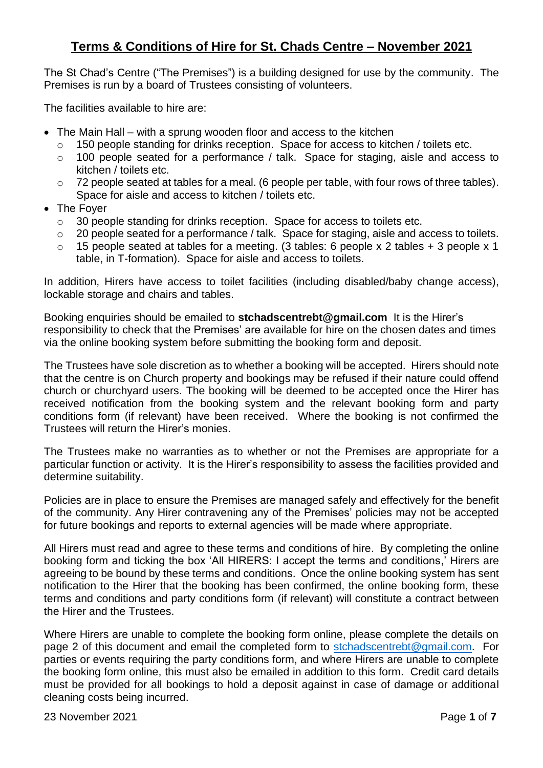## **Terms & Conditions of Hire for St. Chads Centre – November 2021**

The St Chad's Centre ("The Premises") is a building designed for use by the community. The Premises is run by a board of Trustees consisting of volunteers.

The facilities available to hire are:

- The Main Hall with a sprung wooden floor and access to the kitchen
	- o 150 people standing for drinks reception. Space for access to kitchen / toilets etc.
	- o 100 people seated for a performance / talk. Space for staging, aisle and access to kitchen / toilets etc.
	- o 72 people seated at tables for a meal. (6 people per table, with four rows of three tables). Space for aisle and access to kitchen / toilets etc.
- The Foyer
	- o 30 people standing for drinks reception. Space for access to toilets etc.
	- o 20 people seated for a performance / talk. Space for staging, aisle and access to toilets.
	- o 15 people seated at tables for a meeting. (3 tables: 6 people x 2 tables + 3 people x 1 table, in T-formation). Space for aisle and access to toilets.

In addition, Hirers have access to toilet facilities (including disabled/baby change access), lockable storage and chairs and tables.

Booking enquiries should be emailed to **stchadscentrebt@gmail.com** It is the Hirer's responsibility to check that the Premises' are available for hire on the chosen dates and times via the online booking system before submitting the booking form and deposit.

The Trustees have sole discretion as to whether a booking will be accepted. Hirers should note that the centre is on Church property and bookings may be refused if their nature could offend church or churchyard users. The booking will be deemed to be accepted once the Hirer has received notification from the booking system and the relevant booking form and party conditions form (if relevant) have been received. Where the booking is not confirmed the Trustees will return the Hirer's monies.

The Trustees make no warranties as to whether or not the Premises are appropriate for a particular function or activity. It is the Hirer's responsibility to assess the facilities provided and determine suitability.

Policies are in place to ensure the Premises are managed safely and effectively for the benefit of the community. Any Hirer contravening any of the Premises' policies may not be accepted for future bookings and reports to external agencies will be made where appropriate.

All Hirers must read and agree to these terms and conditions of hire. By completing the online booking form and ticking the box 'All HIRERS: I accept the terms and conditions,' Hirers are agreeing to be bound by these terms and conditions. Once the online booking system has sent notification to the Hirer that the booking has been confirmed, the online booking form, these terms and conditions and party conditions form (if relevant) will constitute a contract between the Hirer and the Trustees.

Where Hirers are unable to complete the booking form online, please complete the details on page 2 of this document and email the completed form to [stchadscentrebt@gmail.com.](mailto:stchadscentrebt@gmail.com) For parties or events requiring the party conditions form, and where Hirers are unable to complete the booking form online, this must also be emailed in addition to this form. Credit card details must be provided for all bookings to hold a deposit against in case of damage or additional cleaning costs being incurred.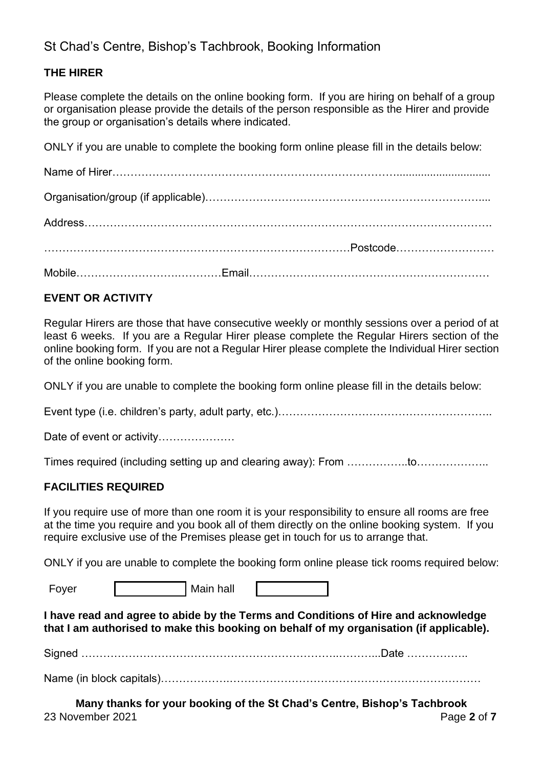# St Chad's Centre, Bishop's Tachbrook, Booking Information

## **THE HIRER**

Please complete the details on the online booking form. If you are hiring on behalf of a group or organisation please provide the details of the person responsible as the Hirer and provide the group or organisation's details where indicated.

ONLY if you are unable to complete the booking form online please fill in the details below:

## **EVENT OR ACTIVITY**

Regular Hirers are those that have consecutive weekly or monthly sessions over a period of at least 6 weeks. If you are a Regular Hirer please complete the Regular Hirers section of the online booking form. If you are not a Regular Hirer please complete the Individual Hirer section of the online booking form.

ONLY if you are unable to complete the booking form online please fill in the details below:

Event type (i.e. children's party, adult party, etc.)……………………………………………………………………

Date of event or activity…………………

Times required (including setting up and clearing away): From ……………..to………………..

#### **FACILITIES REQUIRED**

If you require use of more than one room it is your responsibility to ensure all rooms are free at the time you require and you book all of them directly on the online booking system. If you require exclusive use of the Premises please get in touch for us to arrange that.

ONLY if you are unable to complete the booking form online please tick rooms required below:

Foyer | Main hall

**I have read and agree to abide by the Terms and Conditions of Hire and acknowledge that I am authorised to make this booking on behalf of my organisation (if applicable).** 

Signed ……………………………………………………………..………...Date ……………..

Name (in block capitals)……………….……………………………………………………………

23 November 2021 Page **2** of **7 Many thanks for your booking of the St Chad's Centre, Bishop's Tachbrook**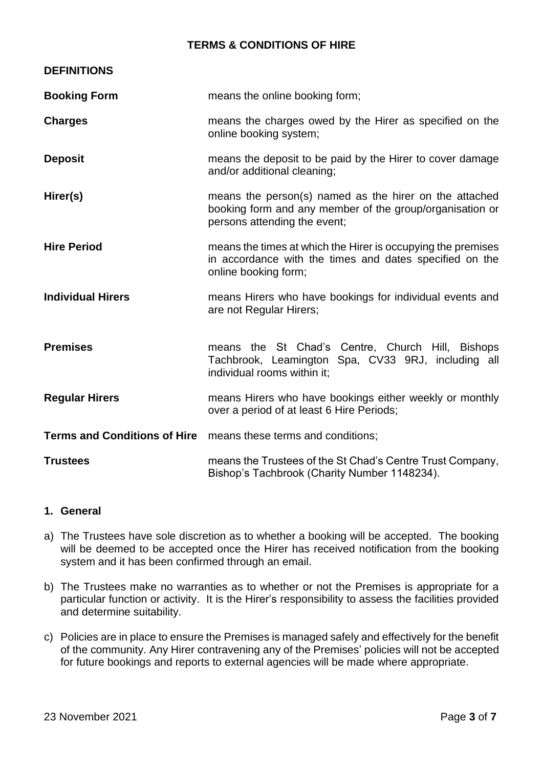### **TERMS & CONDITIONS OF HIRE**

| <b>DEFINITIONS</b>       |                                                                                                                                                    |  |
|--------------------------|----------------------------------------------------------------------------------------------------------------------------------------------------|--|
| <b>Booking Form</b>      | means the online booking form;                                                                                                                     |  |
| <b>Charges</b>           | means the charges owed by the Hirer as specified on the<br>online booking system;                                                                  |  |
| <b>Deposit</b>           | means the deposit to be paid by the Hirer to cover damage<br>and/or additional cleaning;                                                           |  |
| Hirer(s)                 | means the person(s) named as the hirer on the attached<br>booking form and any member of the group/organisation or<br>persons attending the event; |  |
| <b>Hire Period</b>       | means the times at which the Hirer is occupying the premises<br>in accordance with the times and dates specified on the<br>online booking form;    |  |
| <b>Individual Hirers</b> | means Hirers who have bookings for individual events and<br>are not Regular Hirers;                                                                |  |
| <b>Premises</b>          | means the St Chad's Centre, Church Hill, Bishops<br>Tachbrook, Leamington Spa, CV33 9RJ, including all<br>individual rooms within it:              |  |
| <b>Regular Hirers</b>    | means Hirers who have bookings either weekly or monthly<br>over a period of at least 6 Hire Periods;                                               |  |
|                          | Terms and Conditions of Hire means these terms and conditions;                                                                                     |  |
| <b>Trustees</b>          | means the Trustees of the St Chad's Centre Trust Company,<br>Bishop's Tachbrook (Charity Number 1148234).                                          |  |

#### **1. General**

- a) The Trustees have sole discretion as to whether a booking will be accepted. The booking will be deemed to be accepted once the Hirer has received notification from the booking system and it has been confirmed through an email.
- b) The Trustees make no warranties as to whether or not the Premises is appropriate for a particular function or activity. It is the Hirer's responsibility to assess the facilities provided and determine suitability.
- c) Policies are in place to ensure the Premises is managed safely and effectively for the benefit of the community. Any Hirer contravening any of the Premises' policies will not be accepted for future bookings and reports to external agencies will be made where appropriate.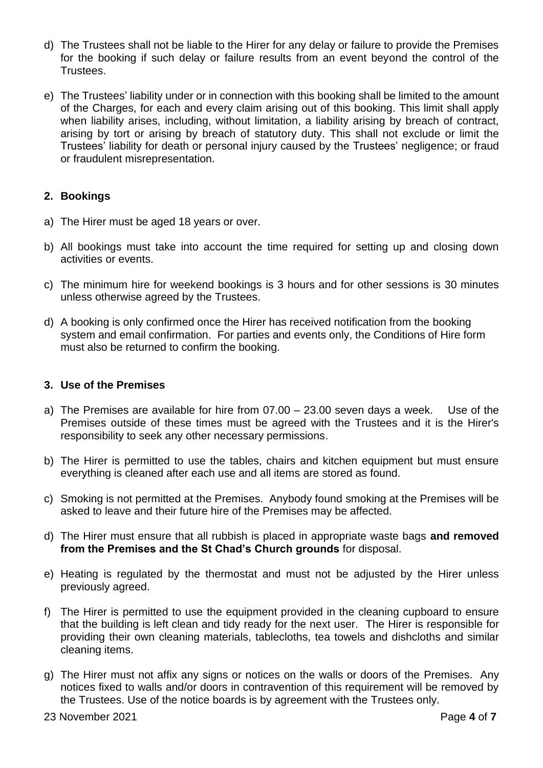- d) The Trustees shall not be liable to the Hirer for any delay or failure to provide the Premises for the booking if such delay or failure results from an event beyond the control of the Trustees.
- e) The Trustees' liability under or in connection with this booking shall be limited to the amount of the Charges, for each and every claim arising out of this booking. This limit shall apply when liability arises, including, without limitation, a liability arising by breach of contract, arising by tort or arising by breach of statutory duty. This shall not exclude or limit the Trustees' liability for death or personal injury caused by the Trustees' negligence; or fraud or fraudulent misrepresentation.

## **2. Bookings**

- a) The Hirer must be aged 18 years or over.
- b) All bookings must take into account the time required for setting up and closing down activities or events.
- c) The minimum hire for weekend bookings is 3 hours and for other sessions is 30 minutes unless otherwise agreed by the Trustees.
- d) A booking is only confirmed once the Hirer has received notification from the booking system and email confirmation. For parties and events only, the Conditions of Hire form must also be returned to confirm the booking.

#### **3. Use of the Premises**

- a) The Premises are available for hire from 07.00 23.00 seven days a week. Use of the Premises outside of these times must be agreed with the Trustees and it is the Hirer's responsibility to seek any other necessary permissions.
- b) The Hirer is permitted to use the tables, chairs and kitchen equipment but must ensure everything is cleaned after each use and all items are stored as found.
- c) Smoking is not permitted at the Premises. Anybody found smoking at the Premises will be asked to leave and their future hire of the Premises may be affected.
- d) The Hirer must ensure that all rubbish is placed in appropriate waste bags **and removed from the Premises and the St Chad's Church grounds** for disposal.
- e) Heating is regulated by the thermostat and must not be adjusted by the Hirer unless previously agreed.
- f) The Hirer is permitted to use the equipment provided in the cleaning cupboard to ensure that the building is left clean and tidy ready for the next user. The Hirer is responsible for providing their own cleaning materials, tablecloths, tea towels and dishcloths and similar cleaning items.
- g) The Hirer must not affix any signs or notices on the walls or doors of the Premises. Any notices fixed to walls and/or doors in contravention of this requirement will be removed by the Trustees. Use of the notice boards is by agreement with the Trustees only.

23 November 2021 **Page 4** of **7**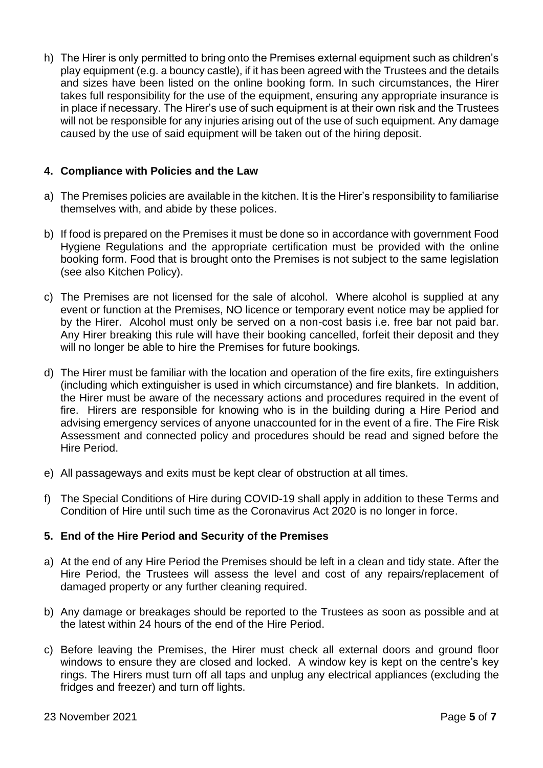h) The Hirer is only permitted to bring onto the Premises external equipment such as children's play equipment (e.g. a bouncy castle), if it has been agreed with the Trustees and the details and sizes have been listed on the online booking form. In such circumstances, the Hirer takes full responsibility for the use of the equipment, ensuring any appropriate insurance is in place if necessary. The Hirer's use of such equipment is at their own risk and the Trustees will not be responsible for any injuries arising out of the use of such equipment. Any damage caused by the use of said equipment will be taken out of the hiring deposit.

### **4. Compliance with Policies and the Law**

- a) The Premises policies are available in the kitchen. It is the Hirer's responsibility to familiarise themselves with, and abide by these polices.
- b) If food is prepared on the Premises it must be done so in accordance with government Food Hygiene Regulations and the appropriate certification must be provided with the online booking form. Food that is brought onto the Premises is not subject to the same legislation (see also Kitchen Policy).
- c) The Premises are not licensed for the sale of alcohol. Where alcohol is supplied at any event or function at the Premises, NO licence or temporary event notice may be applied for by the Hirer. Alcohol must only be served on a non-cost basis i.e. free bar not paid bar. Any Hirer breaking this rule will have their booking cancelled, forfeit their deposit and they will no longer be able to hire the Premises for future bookings.
- d) The Hirer must be familiar with the location and operation of the fire exits, fire extinguishers (including which extinguisher is used in which circumstance) and fire blankets. In addition, the Hirer must be aware of the necessary actions and procedures required in the event of fire. Hirers are responsible for knowing who is in the building during a Hire Period and advising emergency services of anyone unaccounted for in the event of a fire. The Fire Risk Assessment and connected policy and procedures should be read and signed before the Hire Period.
- e) All passageways and exits must be kept clear of obstruction at all times.
- f) The Special Conditions of Hire during COVID-19 shall apply in addition to these Terms and Condition of Hire until such time as the Coronavirus Act 2020 is no longer in force.

#### **5. End of the Hire Period and Security of the Premises**

- a) At the end of any Hire Period the Premises should be left in a clean and tidy state. After the Hire Period, the Trustees will assess the level and cost of any repairs/replacement of damaged property or any further cleaning required.
- b) Any damage or breakages should be reported to the Trustees as soon as possible and at the latest within 24 hours of the end of the Hire Period.
- c) Before leaving the Premises, the Hirer must check all external doors and ground floor windows to ensure they are closed and locked. A window key is kept on the centre's key rings. The Hirers must turn off all taps and unplug any electrical appliances (excluding the fridges and freezer) and turn off lights.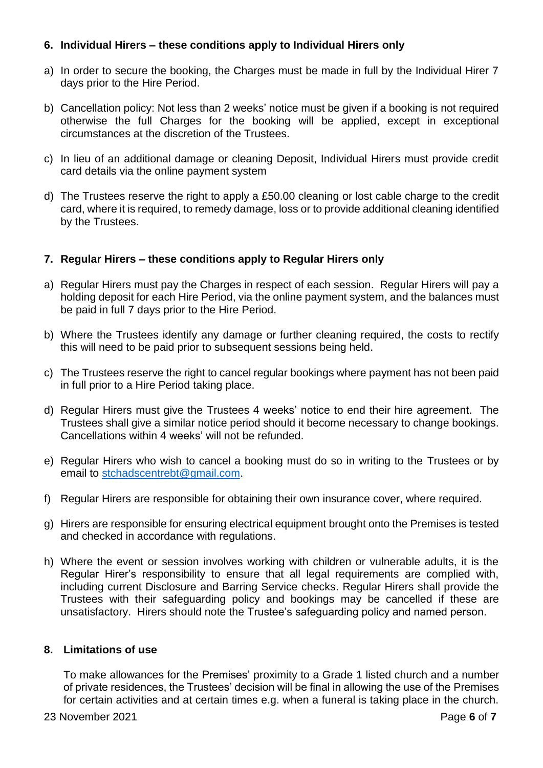## **6. Individual Hirers – these conditions apply to Individual Hirers only**

- a) In order to secure the booking, the Charges must be made in full by the Individual Hirer 7 days prior to the Hire Period.
- b) Cancellation policy: Not less than 2 weeks' notice must be given if a booking is not required otherwise the full Charges for the booking will be applied, except in exceptional circumstances at the discretion of the Trustees.
- c) In lieu of an additional damage or cleaning Deposit, Individual Hirers must provide credit card details via the online payment system
- d) The Trustees reserve the right to apply a £50.00 cleaning or lost cable charge to the credit card, where it is required, to remedy damage, loss or to provide additional cleaning identified by the Trustees.

## **7. Regular Hirers – these conditions apply to Regular Hirers only**

- a) Regular Hirers must pay the Charges in respect of each session. Regular Hirers will pay a holding deposit for each Hire Period, via the online payment system, and the balances must be paid in full 7 days prior to the Hire Period.
- b) Where the Trustees identify any damage or further cleaning required, the costs to rectify this will need to be paid prior to subsequent sessions being held.
- c) The Trustees reserve the right to cancel regular bookings where payment has not been paid in full prior to a Hire Period taking place.
- d) Regular Hirers must give the Trustees 4 weeks' notice to end their hire agreement. The Trustees shall give a similar notice period should it become necessary to change bookings. Cancellations within 4 weeks' will not be refunded.
- e) Regular Hirers who wish to cancel a booking must do so in writing to the Trustees or by email to [stchadscentrebt@gmail.com.](mailto:stchadscentrebt@gmail.com)
- f) Regular Hirers are responsible for obtaining their own insurance cover, where required.
- g) Hirers are responsible for ensuring electrical equipment brought onto the Premises is tested and checked in accordance with regulations.
- h) Where the event or session involves working with children or vulnerable adults, it is the Regular Hirer's responsibility to ensure that all legal requirements are complied with, including current Disclosure and Barring Service checks. Regular Hirers shall provide the Trustees with their safeguarding policy and bookings may be cancelled if these are unsatisfactory. Hirers should note the Trustee's safeguarding policy and named person.

#### **8. Limitations of use**

To make allowances for the Premises' proximity to a Grade 1 listed church and a number of private residences, the Trustees' decision will be final in allowing the use of the Premises for certain activities and at certain times e.g. when a funeral is taking place in the church.